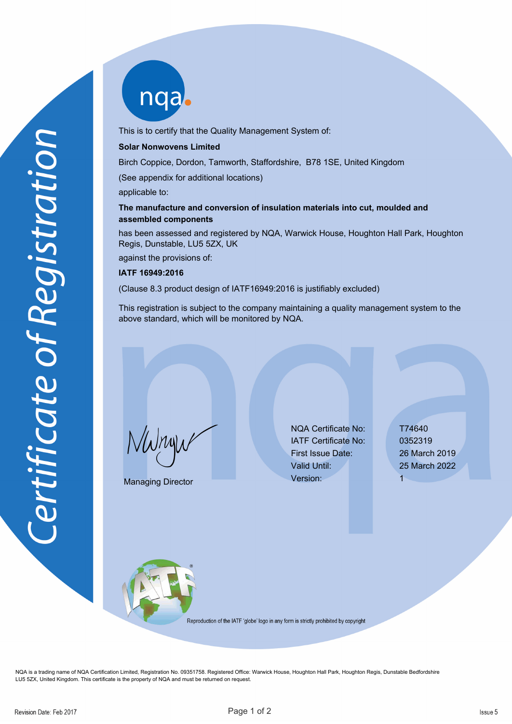nqab

This is to certify that the Quality Management System of:

## **Solar Nonwovens Limited**

Birch Coppice, Dordon, Tamworth, Staffordshire, B78 1SE, United Kingdom

(See appendix for additional locations)

applicable to:

## **The manufacture and conversion of insulation materials into cut, moulded and assembled components**

has been assessed and registered by NQA, Warwick House, Houghton Hall Park, Houghton Regis, Dunstable, LU5 5ZX, UK

against the provisions of:

## **IATF 16949:2016**

(Clause 8.3 product design of IATF16949:2016 is justifiably excluded)

This registration is subject to the company maintaining a quality management system to the above standard, which will be monitored by NQA.

NWnyw

Managing Director

NQA Certificate No: T74640 IATF Certificate No: 0352319 First Issue Date: 26 March 2019 Valid Until: 25 March 2022 Version: 1



Reproduction of the IATF 'globe' logo in any form is strictly prohibited by copyright

NQA is a trading name of NQA Certification Limited, Registration No. 09351758. Registered Office: Warwick House, Houghton Hall Park, Houghton Regis, Dunstable Bedfordshire LU5 5ZX, United Kingdom. This certificate is the property of NQA and must be returned on request.